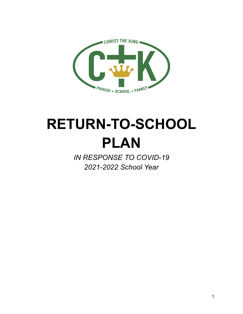

# **RETURN-TO-SCHOOL PLAN**

*IN RESPONSE TO COVID-19 2021-2022 School Year*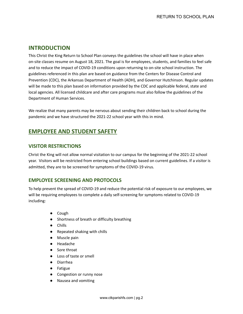## **INTRODUCTION**

This Christ the King Return to School Plan conveys the guidelines the school will have in place when on-site classes resume on August 18, 2021. The goal is for employees, students, and families to feel safe and to reduce the impact of COVID-19 conditions upon returning to on-site school instruction. The guidelines referenced in this plan are based on guidance from the Centers for Disease Control and Prevention (CDC), the Arkansas Department of Health (ADH), and Governor Hutchinson. Regular updates will be made to this plan based on information provided by the CDC and applicable federal, state and local agencies. All licensed childcare and after care programs must also follow the guidelines of the Department of Human Services.

We realize that many parents may be nervous about sending their children back to school during the pandemic and we have structured the 2021-22 school year with this in mind.

# **EMPLOYEE AND STUDENT SAFETY**

## **VISITOR RESTRICTIONS**

Christ the King will not allow normal visitation to our campus for the beginning of the 2021-22 school year. Visitors will be restricted from entering school buildings based on current guidelines. If a visitor is admitted, they are to be screened for symptoms of the COVID-19 virus.

## **EMPLOYEE SCREENING AND PROTOCOLS**

To help prevent the spread of COVID-19 and reduce the potential risk of exposure to our employees, we will be requiring employees to complete a daily self-screening for symptoms related to COVID-19 including:

- Cough
- Shortness of breath or difficulty breathing
- Chills
- Repeated shaking with chills
- Muscle pain
- Headache
- Sore throat
- Loss of taste or smell
- Diarrhea
- Fatigue
- Congestion or runny nose
- Nausea and vomiting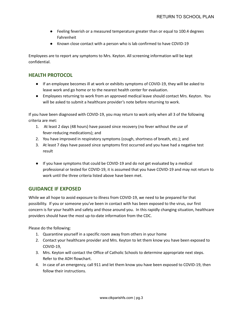- Feeling feverish or a measured temperature greater than or equal to 100.4 degrees Fahrenheit
- Known close contact with a person who is lab confirmed to have COVID-19

Employees are to report any symptoms to Mrs. Keyton. All screening information will be kept confidential.

## **HEALTH PROTOCOL**

- If an employee becomes ill at work or exhibits symptoms of COVID-19, they will be asked to leave work and go home or to the nearest health center for evaluation.
- Employees returning to work from an approved medical leave should contact Mrs. Keyton. You will be asked to submit a healthcare provider's note before returning to work.

If you have been diagnosed with COVID-19, you may return to work only when all 3 of the following criteria are met:

- 1. At least 2 days (48 hours) have passed since recovery (no fever without the use of fever-reducing medications); and
- 2. You have improved in respiratory symptoms (cough, shortness of breath, etc.); and
- 3. At least 7 days have passed since symptoms first occurred and you have had a negative test result
- If you have symptoms that could be COVID-19 and do not get evaluated by a medical professional or tested for COVID-19, it is assumed that you have COVID-19 and may not return to work until the three criteria listed above have been met.

## **GUIDANCE IF EXPOSED**

While we all hope to avoid exposure to illness from COVID-19, we need to be prepared for that possibility. If you or someone you've been in contact with has been exposed to the virus, our first concern is for your health and safety and those around you. In this rapidly changing situation, healthcare providers should have the most up-to-date information from the CDC.

Please do the following:

- 1. Quarantine yourself in a specific room away from others in your home
- 2. Contact your healthcare provider and Mrs. Keyton to let them know you have been exposed to COVID-19,
- 3. Mrs. Keyton will contact the Office of Catholic Schools to determine appropriate next steps. Refer to the ADH flowchart.
- 4. In case of an emergency, call 911 and let them know you have been exposed to COVID-19, then follow their instructions.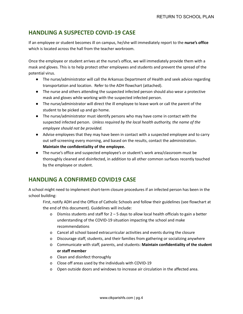# **HANDLING A SUSPECTED COVID-19 CASE**

If an employee or student becomes ill on campus, he/she will immediately report to the **nurse's office** which is located across the hall from the teacher workroom.

Once the employee or student arrives at the nurse's office, we will immediately provide them with a mask and gloves. This is to help protect other employees and students and prevent the spread of the potential virus.

- The nurse/administrator will call the Arkansas Department of Health and seek advice regarding transportation and location. Refer to the ADH flowchart (attached).
- The nurse and others attending the suspected infected person should also wear a protective mask and gloves while working with the suspected infected person.
- The nurse/administrator will direct the ill employee to leave work or call the parent of the student to be picked up and go home.
- The nurse/administrator must identify persons who may have come in contact with the suspected infected person. *Unless required by the local health authority, the name of the employee should not be provided.*
- Advise employees that they may have been in contact with a suspected employee and to carry out self-screening every morning, and based on the results, contact the administration. **Maintain the confidentiality of the employee.**
- The nurse's office and suspected employee's or student's work area/classroom must be thoroughly cleaned and disinfected, in addition to all other common surfaces recently touched by the employee or student.

# **HANDLING A CONFIRMED COVID19 CASE**

A school might need to implement short-term closure procedures if an infected person has been in the school building:

First, notify ADH and the Office of Catholic Schools and follow their guidelines (see flowchart at the end of this document). Guidelines will include:

- o Dismiss students and staff for 2 5 days to allow local health officials to gain a better understanding of the COVID-19 situation impacting the school and make recommendations
- o Cancel all school based extracurricular activities and events during the closure
- o Discourage staff, students, and their families from gathering or socializing anywhere
- o Communicate with staff, parents, and students: **Maintain confidentiality of the student or staff member**
- o Clean and disinfect thoroughly
- o Close off areas used by the individuals with COVID-19
- o Open outside doors and windows to increase air circulation in the affected area.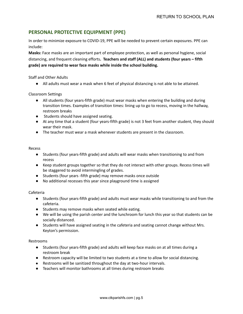## **PERSONAL PROTECTIVE EQUIPMENT (PPE)**

In order to minimize exposure to COVID-19, PPE will be needed to prevent certain exposures. PPE can include:

**Masks:** Face masks are an important part of employee protection, as well as personal hygiene, social distancing, and frequent cleaning efforts**. Teachers and staff (ALL) and students (four years – fifth grade) are required to wear face masks while inside the school building.**

Staff and Other Adults

● All adults must wear a mask when 6 feet of physical distancing is not able to be attained.

Classroom Settings

- All students (four years-fifth grade) must wear masks when entering the building and during transition times. Examples of transition times: lining up to go to recess, moving in the hallway, restroom breaks
- Students should have assigned seating.
- At any time that a student (four years-fifth grade) is not 3 feet from another student, they should wear their mask.
- The teacher must wear a mask whenever students are present in the classroom.

#### Recess

- Students (four years-fifth grade) and adults will wear masks when transitioning to and from recess
- Keep student groups together so that they do not interact with other groups. Recess times will be staggered to avoid intermingling of grades.
- Students (four years -fifth grade) may remove masks once outside
- No additional recesses this year since playground time is assigned

#### Cafeteria

- Students (four years-fifth grade) and adults must wear masks while transitioning to and from the cafeteria.
- Students may remove masks when seated while eating.
- We will be using the parish center and the lunchroom for lunch this year so that students can be socially distanced.
- Students will have assigned seating in the cafeteria and seating cannot change without Mrs. Keyton's permission.

#### Restrooms

- Students (four years-fifth grade) and adults will keep face masks on at all times during a restroom break
- Restroom capacity will be limited to two students at a time to allow for social distancing.
- Restrooms will be sanitized throughout the day at two-hour intervals.
- Teachers will monitor bathrooms at all times during restroom breaks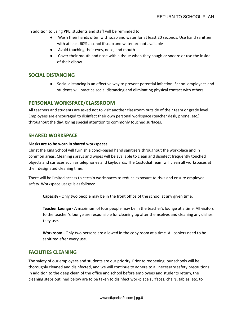In addition to using PPE, students and staff will be reminded to:

- Wash their hands often with soap and water for at least 20 seconds. Use hand sanitizer with at least 60% alcohol if soap and water are not available
- Avoid touching their eyes, nose, and mouth
- Cover their mouth and nose with a tissue when they cough or sneeze or use the inside of their elbow

### **SOCIAL DISTANCING**

**●** Social distancing is an effective way to prevent potential infection. School employees and students will practice social distancing and eliminating physical contact with others.

#### **PERSONAL WORKSPACE/CLASSROOM**

All teachers and students are asked not to visit another classroom outside of their team or grade level. Employees are encouraged to disinfect their own personal workspace (teacher desk, phone, etc.) throughout the day, giving special attention to commonly touched surfaces.

### **SHARED WORKSPACE**

#### **Masks are to be worn in shared workspaces.**

Christ the King School will furnish alcohol-based hand sanitizers throughout the workplace and in common areas. Cleaning sprays and wipes will be available to clean and disinfect frequently touched objects and surfaces such as telephones and keyboards. The Custodial Team will clean all workspaces at their designated cleaning time.

There will be limited access to certain workspaces to reduce exposure to risks and ensure employee safety. Workspace usage is as follows:

**Capacity** - Only two people may be in the front office of the school at any given time.

**Teacher Lounge -** A maximum of four people may be in the teacher's lounge at a time. All visitors to the teacher's lounge are responsible for cleaning up after themselves and cleaning any dishes they use.

**Workroom -** Only two persons are allowed in the copy room at a time. All copiers need to be sanitized after every use.

#### **FACILITIES CLEANING**

The safety of our employees and students are our priority. Prior to reopening, our schools will be thoroughly cleaned and disinfected, and we will continue to adhere to all necessary safety precautions. In addition to the deep clean of the office and school before employees and students return, the cleaning steps outlined below are to be taken to disinfect workplace surfaces, chairs, tables, etc. to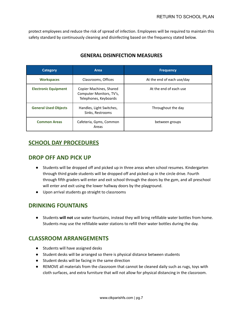protect employees and reduce the risk of spread of infection. Employees will be required to maintain this safety standard by continuously cleaning and disinfecting based on the frequency stated below.

| <b>Category</b>             | Area                                                                         | <b>Frequency</b>           |
|-----------------------------|------------------------------------------------------------------------------|----------------------------|
| <b>Workspaces</b>           | Classrooms, Offices                                                          | At the end of each use/day |
| <b>Electronic Equipment</b> | Copier Machines, Shared<br>Computer Monitors, TV's,<br>Telephones, Keyboards | At the end of each use     |
| <b>General Used Objects</b> | Handles, Light Switches,<br>Sinks, Restrooms                                 | Throughout the day         |
| <b>Common Areas</b>         | Cafeteria, Gyms, Common<br>Areas                                             | between groups             |

## **GENERAL DISINFECTION MEASURES**

## **SCHOOL DAY PROCEDURES**

## **DROP OFF AND PICK UP**

- Students will be dropped off and picked up in three areas when school resumes. Kindergarten through third grade students will be dropped off and picked up in the circle drive. Fourth through fifth graders will enter and exit school through the doors by the gym, and all preschool will enter and exit using the lower hallway doors by the playground.
- Upon arrival students go straight to classrooms

## **DRINKING FOUNTAINS**

● Students **will not** use water fountains, instead they will bring refillable water bottles from home. Students may use the refillable water stations to refill their water bottles during the day.

# **CLASSROOM ARRANGEMENTS**

- Students will have assigned desks
- Student desks will be arranged so there is physical distance between students
- Student desks will be facing in the same direction
- REMOVE all materials from the classroom that cannot be cleaned daily such as rugs, toys with cloth surfaces, and extra furniture that will not allow for physical distancing in the classroom.